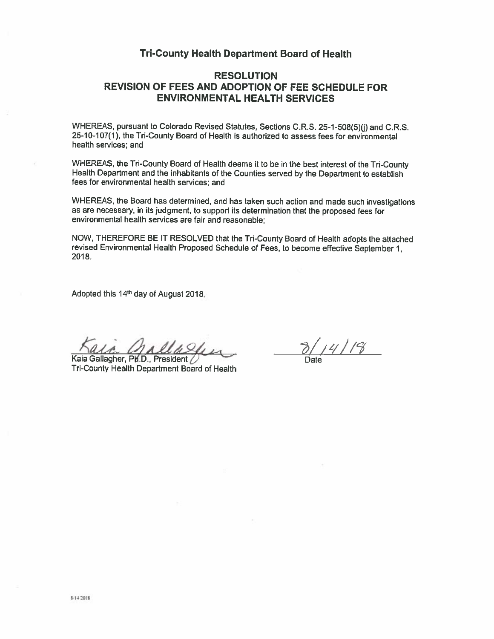## **Tri-County Health Department Board of Health**

# **RESOLUTION REVISION OF FEES AND ADOPTION OF FEE SCHEDULE FOR ENVIRONMENTAL HEALTH SERVICES**

WHEREAS, pursuant to Colorado Revised Statutes, Sections C.R.S. 25-1-508(5)(j) and C.R.S. 25-10-107(1), the Tri-County Board of Health is authorized to assess fees for environmental health services: and

WHEREAS, the Tri-County Board of Health deems it to be in the best interest of the Tri-County Health Department and the inhabitants of the Counties served by the Department to establish fees for environmental health services; and

WHEREAS, the Board has determined, and has taken such action and made such investigations as are necessary, in its judgment, to support its determination that the proposed fees for environmental health services are fair and reasonable:

NOW. THEREFORE BE IT RESOLVED that the Tri-County Board of Health adopts the attached revised Environmental Health Proposed Schedule of Fees, to become effective September 1, 2018.

Adopted this 14th day of August 2018.

Kaia Gallagher, Ph.D., President Tri-County Health Department Board of Health

 $3/14/18$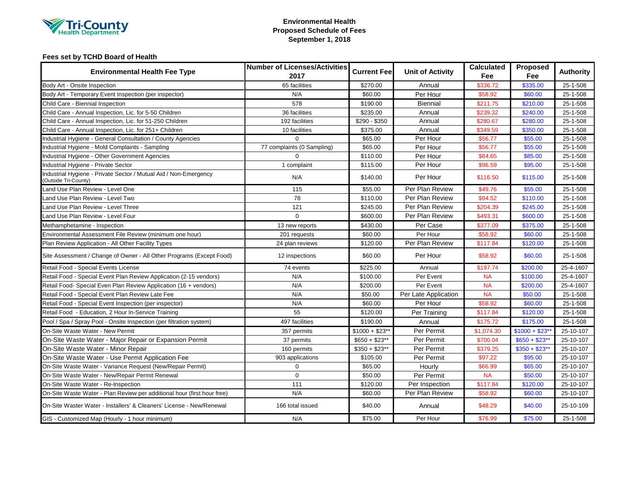

### **Environmental Health Proposed Schedule of Fees September 1, 2018**

### **Fees set by TCHD Board of Health**

| <b>Environmental Health Fee Type</b>                                                   | <b>Number of Licenses/Activities</b><br>2017 | <b>Current Fee</b> | <b>Unit of Activity</b> | <b>Calculated</b><br>Fee | Proposed<br>Fee  | <b>Authority</b> |
|----------------------------------------------------------------------------------------|----------------------------------------------|--------------------|-------------------------|--------------------------|------------------|------------------|
| Body Art - Onsite Inspection                                                           | 65 facilities                                | \$270.00           | Annual                  | \$336.72                 | \$335.00         | 25-1-508         |
| Body Art - Temporary Event Inspection (per inspector)                                  | N/A                                          | \$60.00            | Per Hour                | \$58.92                  | \$60.00          | 25-1-508         |
| Child Care - Biennial Inspection                                                       | 578                                          | \$190.00           | <b>Biennial</b>         | \$211.75                 | \$210.00         | 25-1-508         |
| Child Care - Annual Inspection, Lic. for 5-50 Children                                 | 36 facilities                                | \$235.00           | Annual                  | \$239.32                 | \$240.00         | 25-1-508         |
| Child Care - Annual Inspection, Lic. for 51-250 Children                               | 192 facilities                               | $$290 - $350$      | Annual                  | \$280.67                 | \$280.00         | 25-1-508         |
| Child Care - Annual Inspection, Lic. for 251+ Children                                 | 10 facilities                                | \$375.00           | Annual                  | \$349.59                 | \$350.00         | 25-1-508         |
| Industrial Hygiene - General Consultation / County Agencies                            | $\Omega$                                     | \$65.00            | Per Hour                | \$56.77                  | \$55.00          | 25-1-508         |
| Industrial Hygiene - Mold Complaints - Sampling                                        | 77 complaints (0 Sampling)                   | \$65.00            | Per Hour                | \$56.77                  | \$55.00          | 25-1-508         |
| Industrial Hygiene - Other Government Agencies                                         | $\Omega$                                     | \$110.00           | Per Hour                | \$84.65                  | \$85.00          | 25-1-508         |
| ndustrial Hygiene - Private Sector                                                     | 1 complaint                                  | \$115.00           | Per Hour                | \$96.59                  | \$95.00          | 25-1-508         |
| ndustrial Hygiene - Private Sector / Mutual Aid / Non-Emergency<br>Outside Tri-County) | N/A                                          | \$140.00           | Per Hour                | \$116.50                 | \$115.00         | 25-1-508         |
| and Use Plan Review - Level One                                                        | 115                                          | \$55.00            | Per Plan Review         | \$49.76                  | \$55.00          | 25-1-508         |
| and Use Plan Review - Level Two                                                        | 78                                           | \$110.00           | Per Plan Review         | \$94.52                  | \$110.00         | 25-1-508         |
| and Use Plan Review - Level Three                                                      | 121                                          | \$245.00           | Per Plan Review         | \$204.39                 | \$245.00         | 25-1-508         |
| and Use Plan Review - Level Four                                                       | $\Omega$                                     | \$600.00           | Per Plan Review         | \$493.31                 | \$600.00         | 25-1-508         |
| Methamphetamine - Inspection                                                           | 13 new reports                               | \$430.00           | Per Case                | \$377.09                 | \$375.00         | 25-1-508         |
| Environmental Assessment File Review (minimum one hour)                                | 201 requests                                 | \$60.00            | Per Hour                | \$58.92                  | \$60.00          | 25-1-508         |
| Plan Review Application - All Other Facility Types                                     | 24 plan reviews                              | \$120.00           | Per Plan Review         | \$117.84                 | \$120.00         | 25-1-508         |
| Site Assessment / Change of Owner - All Other Programs (Except Food)                   | 12 inspections                               | \$60.00            | Per Hour                | \$58.92                  | \$60.00          | 25-1-508         |
| Retail Food - Special Events License                                                   | 74 events                                    | \$225.00           | Annual                  | \$197.74                 | \$200.00         | 25-4-1607        |
| Retail Food - Special Event Plan Review Application (2-15 vendors)                     | N/A                                          | \$100.00           | Per Event               | <b>NA</b>                | \$100.00         | 25-4-1607        |
| Retail Food- Special Even Plan Review Application (16 + vendors)                       | N/A                                          | \$200.00           | Per Event               | <b>NA</b>                | \$200.00         | 25-4-1607        |
| Retail Food - Special Event Plan Review Late Fee                                       | N/A                                          | \$50.00            | Per Late Application    | <b>NA</b>                | \$50.00          | 25-1-508         |
| Retail Food - Special Event Inspection (per inspector)                                 | N/A                                          | \$60.00            | Per Hour                | \$58.92                  | \$60.00          | 25-1-508         |
| Retail Food - Education, 2 Hour In-Service Training                                    | 55                                           | \$120.00           | Per Training            | \$117.84                 | \$120.00         | 25-1-508         |
| Pool / Spa / Spray Pool - Onsite Inspection (per filtration system)                    | 497 facilities                               | \$190.00           | Annual                  | \$175.72                 | \$175.00         | 25-1-508         |
| On-Site Waste Water - New Permit                                                       | 357 permits                                  | $$1000 + $23**$    | Per Permit              | \$1,074.30               | $$1000 + $23$ ** | 25-10-107        |
| On-Site Waste Water - Major Repair or Expansion Permit                                 | 37 permits                                   | $$650 + $23**$     | Per Permit              | \$700.04                 | $$650 + $23**$   | 25-10-107        |
| On-Site Waste Water - Minor Repair                                                     | 160 permits                                  | $$350 + $23**$     | Per Permit              | \$379.25                 | $$350 + $23**$   | 25-10-107        |
| On-Site Waste Water - Use Permit Application Fee                                       | 903 applications                             | \$105.00           | Per Permit              | \$97.22                  | \$95.00          | 25-10-107        |
| On-Site Waste Water - Variance Request (New/Repair Permit)                             | 0                                            | \$65.00            | Hourly                  | \$66.99                  | \$65.00          | 25-10-107        |
| On-Site Waste Water - New/Repair Permit Renewal                                        | $\Omega$                                     | \$50.00            | Per Permit              | <b>NA</b>                | \$50.00          | 25-10-107        |
| On-Site Waste Water - Re-Inspection                                                    | 111                                          | \$120.00           | Per Inspection          | \$117.84                 | \$120.00         | 25-10-107        |
| On-Site Waste Water - Plan Review per additional hour (first hour free)                | N/A                                          | \$60.00            | Per Plan Review         | \$58.92                  | \$60.00          | 25-10-107        |
| On-Site Waster Water - Installers' & Cleaners' License - New/Renewal                   | 166 total issued                             | \$40.00            | Annual                  | \$48.29                  | \$40.00          | 25-10-109        |
| GIS - Customized Map (Hourly - 1 hour minimum)                                         | N/A                                          | \$75.00            | Per Hour                | \$76.99                  | \$75.00          | 25-1-508         |